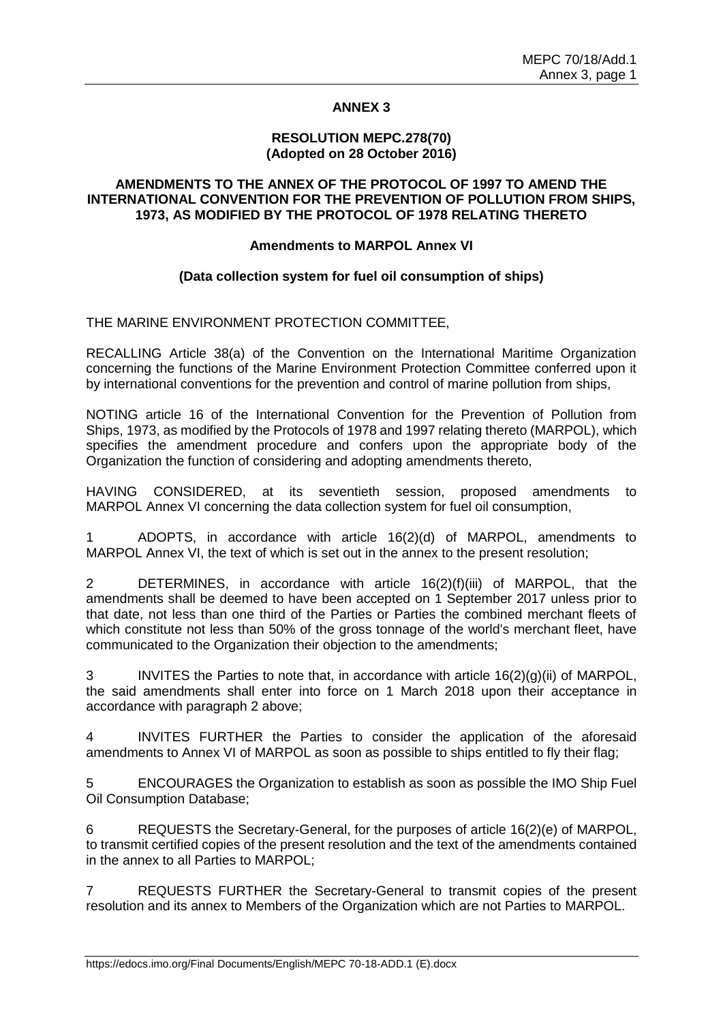# **ANNEX 3**

#### **RESOLUTION MEPC.278(70) (Adopted on 28 October 2016)**

# **AMENDMENTS TO THE ANNEX OF THE PROTOCOL OF 1997 TO AMEND THE INTERNATIONAL CONVENTION FOR THE PREVENTION OF POLLUTION FROM SHIPS, 1973, AS MODIFIED BY THE PROTOCOL OF 1978 RELATING THERETO**

# **Amendments to MARPOL Annex VI**

#### **(Data collection system for fuel oil consumption of ships)**

THE MARINE ENVIRONMENT PROTECTION COMMITTEE,

RECALLING Article 38(a) of the Convention on the International Maritime Organization concerning the functions of the Marine Environment Protection Committee conferred upon it by international conventions for the prevention and control of marine pollution from ships,

NOTING article 16 of the International Convention for the Prevention of Pollution from Ships, 1973, as modified by the Protocols of 1978 and 1997 relating thereto (MARPOL), which specifies the amendment procedure and confers upon the appropriate body of the Organization the function of considering and adopting amendments thereto,

HAVING CONSIDERED, at its seventieth session, proposed amendments to MARPOL Annex VI concerning the data collection system for fuel oil consumption,

1 ADOPTS, in accordance with article 16(2)(d) of MARPOL, amendments to MARPOL Annex VI, the text of which is set out in the annex to the present resolution;

2 DETERMINES, in accordance with article 16(2)(f)(iii) of MARPOL, that the amendments shall be deemed to have been accepted on 1 September 2017 unless prior to that date, not less than one third of the Parties or Parties the combined merchant fleets of which constitute not less than 50% of the gross tonnage of the world's merchant fleet, have communicated to the Organization their objection to the amendments;

3 INVITES the Parties to note that, in accordance with article 16(2)(g)(ii) of MARPOL, the said amendments shall enter into force on 1 March 2018 upon their acceptance in accordance with paragraph 2 above;

4 INVITES FURTHER the Parties to consider the application of the aforesaid amendments to Annex VI of MARPOL as soon as possible to ships entitled to fly their flag;

5 ENCOURAGES the Organization to establish as soon as possible the IMO Ship Fuel Oil Consumption Database;

6 REQUESTS the Secretary-General, for the purposes of article 16(2)(e) of MARPOL, to transmit certified copies of the present resolution and the text of the amendments contained in the annex to all Parties to MARPOL;

7 REQUESTS FURTHER the Secretary-General to transmit copies of the present resolution and its annex to Members of the Organization which are not Parties to MARPOL.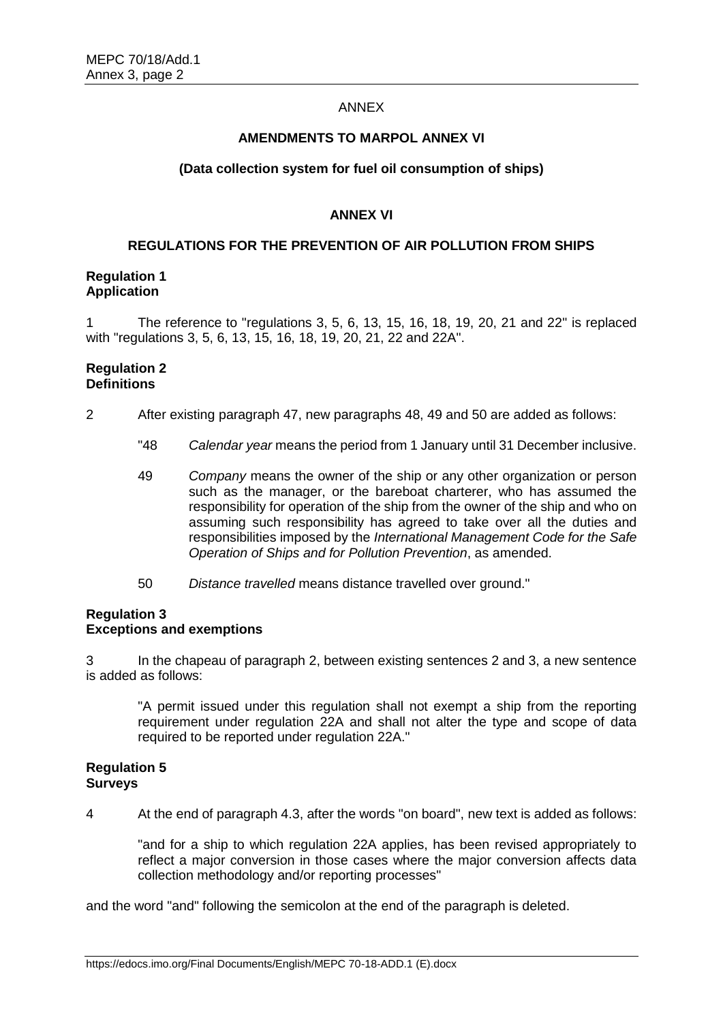#### ANNEX

#### **AMENDMENTS TO MARPOL ANNEX VI**

### **(Data collection system for fuel oil consumption of ships)**

# **ANNEX VI**

#### **REGULATIONS FOR THE PREVENTION OF AIR POLLUTION FROM SHIPS**

#### **Regulation 1 Application**

1 The reference to "regulations 3, 5, 6, 13, 15, 16, 18, 19, 20, 21 and 22" is replaced with "regulations 3, 5, 6, 13, 15, 16, 18, 19, 20, 21, 22 and 22A".

### **Regulation 2 Definitions**

- 2 After existing paragraph 47, new paragraphs 48, 49 and 50 are added as follows:
	- "48 *Calendar year* means the period from 1 January until 31 December inclusive.
	- 49 *Company* means the owner of the ship or any other organization or person such as the manager, or the bareboat charterer, who has assumed the responsibility for operation of the ship from the owner of the ship and who on assuming such responsibility has agreed to take over all the duties and responsibilities imposed by the *International Management Code for the Safe Operation of Ships and for Pollution Prevention*, as amended.
	- 50 *Distance travelled* means distance travelled over ground."

#### **Regulation 3 Exceptions and exemptions**

3 In the chapeau of paragraph 2, between existing sentences 2 and 3, a new sentence is added as follows:

"A permit issued under this regulation shall not exempt a ship from the reporting requirement under regulation 22A and shall not alter the type and scope of data required to be reported under regulation 22A."

#### **Regulation 5 Surveys**

4 At the end of paragraph 4.3, after the words "on board", new text is added as follows:

"and for a ship to which regulation 22A applies, has been revised appropriately to reflect a major conversion in those cases where the major conversion affects data collection methodology and/or reporting processes"

and the word "and" following the semicolon at the end of the paragraph is deleted.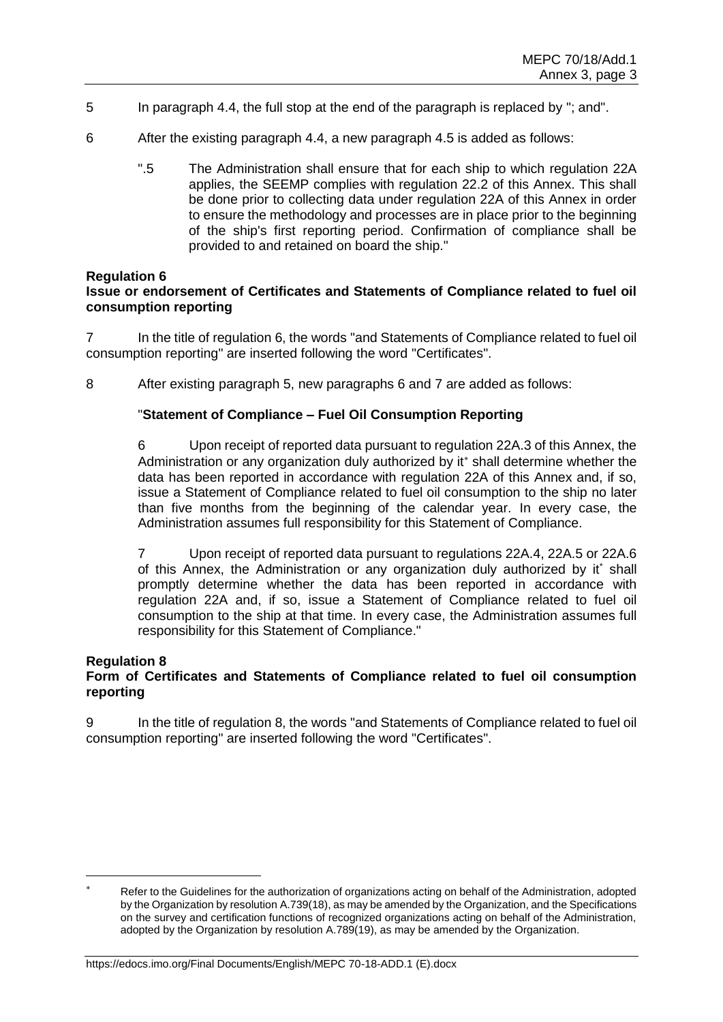- 5 In paragraph 4.4, the full stop at the end of the paragraph is replaced by "; and".
- 6 After the existing paragraph 4.4, a new paragraph 4.5 is added as follows:
	- ".5 The Administration shall ensure that for each ship to which regulation 22A applies, the SEEMP complies with regulation 22.2 of this Annex. This shall be done prior to collecting data under regulation 22A of this Annex in order to ensure the methodology and processes are in place prior to the beginning of the ship's first reporting period. Confirmation of compliance shall be provided to and retained on board the ship."

#### **Regulation 6**

# **Issue or endorsement of Certificates and Statements of Compliance related to fuel oil consumption reporting**

7 In the title of regulation 6, the words "and Statements of Compliance related to fuel oil consumption reporting" are inserted following the word "Certificates".

8 After existing paragraph 5, new paragraphs 6 and 7 are added as follows:

#### "**Statement of Compliance – Fuel Oil Consumption Reporting**

6 Upon receipt of reported data pursuant to regulation 22A.3 of this Annex, the Administration or any organization duly authorized by it\* shall determine whether the data has been reported in accordance with regulation 22A of this Annex and, if so, issue a Statement of Compliance related to fuel oil consumption to the ship no later than five months from the beginning of the calendar year. In every case, the Administration assumes full responsibility for this Statement of Compliance.

7 Upon receipt of reported data pursuant to regulations 22A.4, 22A.5 or 22A.6 of this Annex, the Administration or any organization duly authorized by it\* shall promptly determine whether the data has been reported in accordance with regulation 22A and, if so, issue a Statement of Compliance related to fuel oil consumption to the ship at that time. In every case, the Administration assumes full responsibility for this Statement of Compliance."

#### **Regulation 8**

# **Form of Certificates and Statements of Compliance related to fuel oil consumption reporting**

9 In the title of regulation 8, the words "and Statements of Compliance related to fuel oil consumption reporting" are inserted following the word "Certificates".

Refer to the Guidelines for the authorization of organizations acting on behalf of the Administration, adopted by the Organization by resolution A.739(18), as may be amended by the Organization, and the Specifications on the survey and certification functions of recognized organizations acting on behalf of the Administration, adopted by the Organization by resolution A.789(19), as may be amended by the Organization.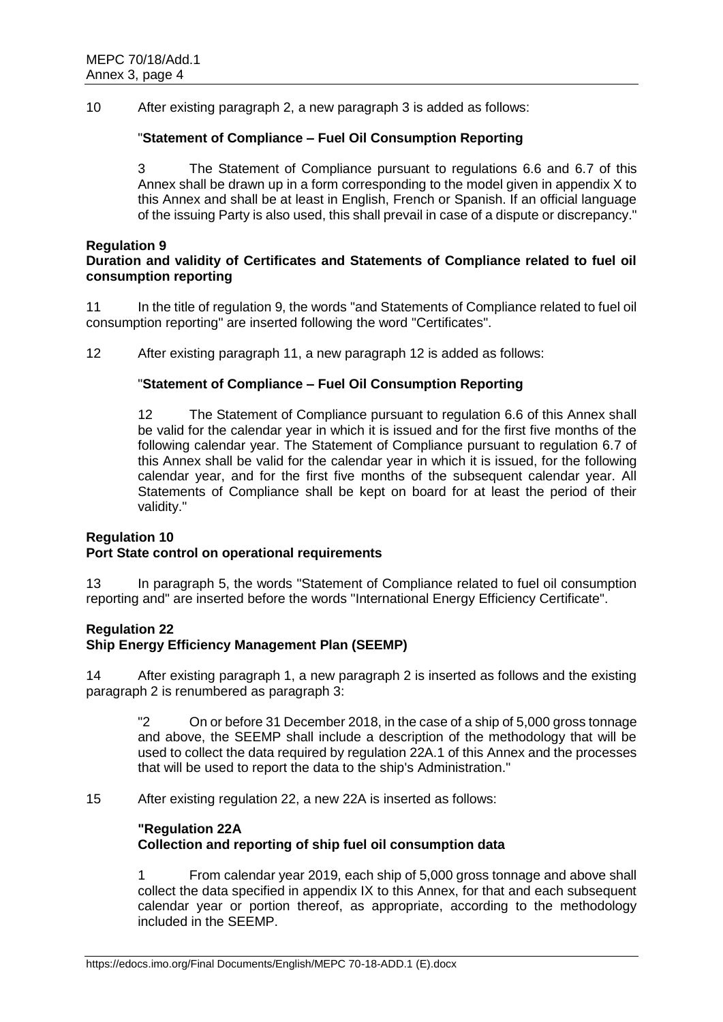10 After existing paragraph 2, a new paragraph 3 is added as follows:

# "**Statement of Compliance – Fuel Oil Consumption Reporting**

3 The Statement of Compliance pursuant to regulations 6.6 and 6.7 of this Annex shall be drawn up in a form corresponding to the model given in appendix X to this Annex and shall be at least in English, French or Spanish. If an official language of the issuing Party is also used, this shall prevail in case of a dispute or discrepancy."

#### **Regulation 9**

# **Duration and validity of Certificates and Statements of Compliance related to fuel oil consumption reporting**

11 In the title of regulation 9, the words "and Statements of Compliance related to fuel oil consumption reporting" are inserted following the word "Certificates".

12 After existing paragraph 11, a new paragraph 12 is added as follows:

#### "**Statement of Compliance – Fuel Oil Consumption Reporting**

12 The Statement of Compliance pursuant to regulation 6.6 of this Annex shall be valid for the calendar year in which it is issued and for the first five months of the following calendar year. The Statement of Compliance pursuant to regulation 6.7 of this Annex shall be valid for the calendar year in which it is issued, for the following calendar year, and for the first five months of the subsequent calendar year. All Statements of Compliance shall be kept on board for at least the period of their validity."

# **Regulation 10**

# **Port State control on operational requirements**

13 In paragraph 5, the words "Statement of Compliance related to fuel oil consumption reporting and" are inserted before the words "International Energy Efficiency Certificate".

# **Regulation 22**

# **Ship Energy Efficiency Management Plan (SEEMP)**

14 After existing paragraph 1, a new paragraph 2 is inserted as follows and the existing paragraph 2 is renumbered as paragraph 3:

"2 On or before 31 December 2018, in the case of a ship of 5,000 gross tonnage and above, the SEEMP shall include a description of the methodology that will be used to collect the data required by regulation 22A.1 of this Annex and the processes that will be used to report the data to the ship's Administration."

15 After existing regulation 22, a new 22A is inserted as follows:

# **"Regulation 22A**

# **Collection and reporting of ship fuel oil consumption data**

1 From calendar year 2019, each ship of 5,000 gross tonnage and above shall collect the data specified in appendix IX to this Annex, for that and each subsequent calendar year or portion thereof, as appropriate, according to the methodology included in the SEEMP.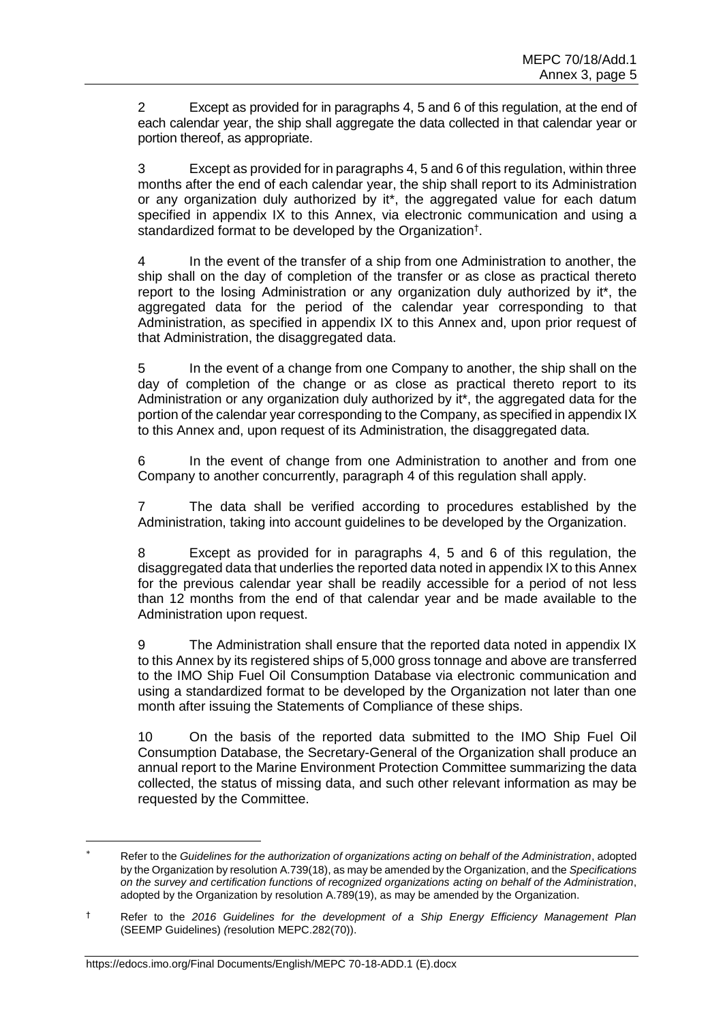Except as provided for in paragraphs 4, 5 and 6 of this regulation, at the end of each calendar year, the ship shall aggregate the data collected in that calendar year or portion thereof, as appropriate.

3 Except as provided for in paragraphs 4, 5 and 6 of this regulation, within three months after the end of each calendar year, the ship shall report to its Administration or any organization duly authorized by it\*, the aggregated value for each datum specified in appendix IX to this Annex, via electronic communication and using a standardized format to be developed by the Organization<sup>†</sup>.

4 In the event of the transfer of a ship from one Administration to another, the ship shall on the day of completion of the transfer or as close as practical thereto report to the losing Administration or any organization duly authorized by it\*, the aggregated data for the period of the calendar year corresponding to that Administration, as specified in appendix IX to this Annex and, upon prior request of that Administration, the disaggregated data.

5 In the event of a change from one Company to another, the ship shall on the day of completion of the change or as close as practical thereto report to its Administration or any organization duly authorized by it\*, the aggregated data for the portion of the calendar year corresponding to the Company, as specified in appendix IX to this Annex and, upon request of its Administration, the disaggregated data.

6 In the event of change from one Administration to another and from one Company to another concurrently, paragraph 4 of this regulation shall apply.

7 The data shall be verified according to procedures established by the Administration, taking into account guidelines to be developed by the Organization.

8 Except as provided for in paragraphs 4, 5 and 6 of this regulation, the disaggregated data that underlies the reported data noted in appendix IX to this Annex for the previous calendar year shall be readily accessible for a period of not less than 12 months from the end of that calendar year and be made available to the Administration upon request.

9 The Administration shall ensure that the reported data noted in appendix IX to this Annex by its registered ships of 5,000 gross tonnage and above are transferred to the IMO Ship Fuel Oil Consumption Database via electronic communication and using a standardized format to be developed by the Organization not later than one month after issuing the Statements of Compliance of these ships.

10 On the basis of the reported data submitted to the IMO Ship Fuel Oil Consumption Database, the Secretary-General of the Organization shall produce an annual report to the Marine Environment Protection Committee summarizing the data collected, the status of missing data, and such other relevant information as may be requested by the Committee.

Refer to the *Guidelines for the authorization of organizations acting on behalf of the Administration*, adopted by the Organization by resolution A.739(18), as may be amended by the Organization, and the *Specifications on the survey and certification functions of recognized organizations acting on behalf of the Administration*, adopted by the Organization by resolution A.789(19), as may be amended by the Organization.

<sup>†</sup> Refer to the *2016 Guidelines for the development of a Ship Energy Efficiency Management Plan*  (SEEMP Guidelines) *(*resolution MEPC.282(70)).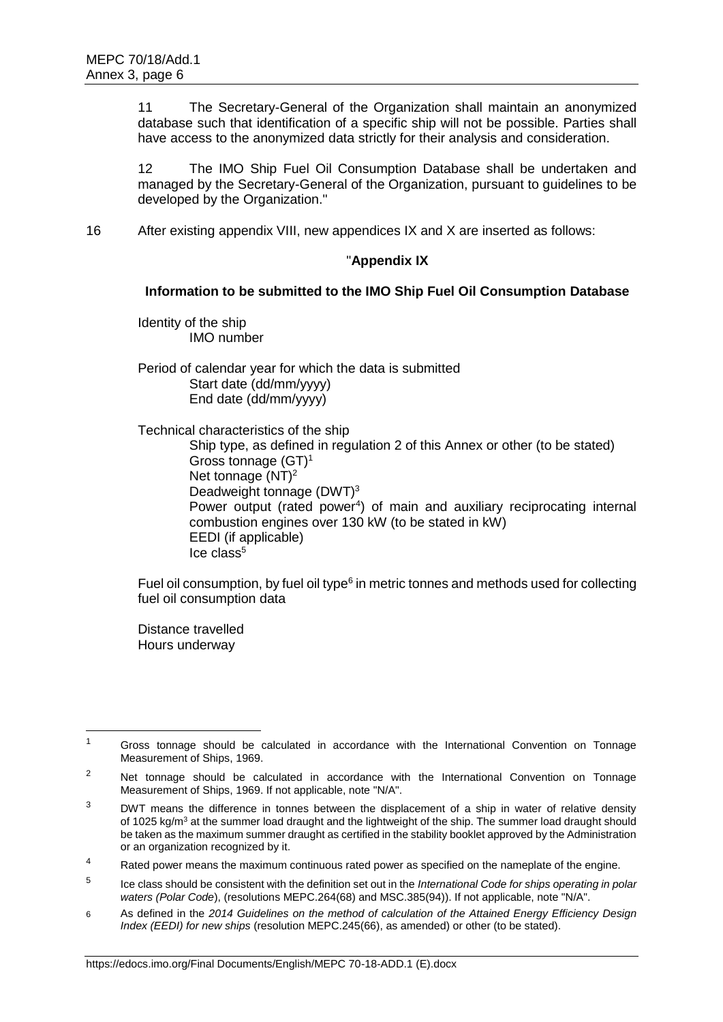11 The Secretary-General of the Organization shall maintain an anonymized database such that identification of a specific ship will not be possible. Parties shall have access to the anonymized data strictly for their analysis and consideration.

12 The IMO Ship Fuel Oil Consumption Database shall be undertaken and managed by the Secretary-General of the Organization, pursuant to guidelines to be developed by the Organization."

16 After existing appendix VIII, new appendices IX and X are inserted as follows:

# "**Appendix IX**

# **Information to be submitted to the IMO Ship Fuel Oil Consumption Database**

Identity of the ship IMO number

Period of calendar year for which the data is submitted Start date (dd/mm/yyyy) End date (dd/mm/yyyy)

Technical characteristics of the ship

Ship type, as defined in regulation 2 of this Annex or other (to be stated) Gross tonnage (GT)<sup>1</sup> Net tonnage (NT)<sup>2</sup> Deadweight tonnage (DWT)<sup>3</sup> Power output (rated power<sup>4</sup>) of main and auxiliary reciprocating internal combustion engines over 130 kW (to be stated in kW) EEDI (if applicable)  $Ice$  class<sup>5</sup>

Fuel oil consumption, by fuel oil type $6$  in metric tonnes and methods used for collecting fuel oil consumption data

Distance travelled Hours underway

<sup>&</sup>lt;sup>1</sup> Gross tonnage should be calculated in accordance with the International Convention on Tonnage Measurement of Ships, 1969.

<sup>&</sup>lt;sup>2</sup> Net tonnage should be calculated in accordance with the International Convention on Tonnage Measurement of Ships, 1969. If not applicable, note "N/A".

 $3$  DWT means the difference in tonnes between the displacement of a ship in water of relative density of 1025 kg/m<sup>3</sup> at the summer load draught and the lightweight of the ship. The summer load draught should be taken as the maximum summer draught as certified in the stability booklet approved by the Administration or an organization recognized by it.

 $4 - 1$  Rated power means the maximum continuous rated power as specified on the nameplate of the engine.

<sup>5</sup> Ice class should be consistent with the definition set out in the *International Code for ships operating in polar waters (Polar Code*), (resolutions MEPC.264(68) and MSC.385(94)). If not applicable, note "N/A".

<sup>6</sup> As defined in the *2014 Guidelines on the method of calculation of the Attained Energy Efficiency Design Index (EEDI) for new ships* (resolution MEPC.245(66), as amended) or other (to be stated).